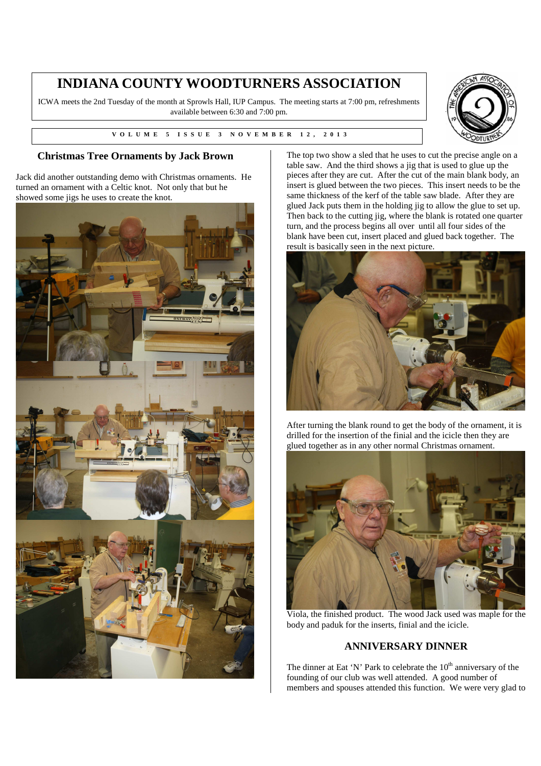## **INDIANA COUNTY WOODTURNERS ASSOCIATION**

ICWA meets the 2nd Tuesday of the month at Sprowls Hall, IUP Campus. The meeting starts at 7:00 pm, refreshments available between 6:30 and 7:00 pm.





Jack did another outstanding demo with Christmas ornaments. He turned an ornament with a Celtic knot. Not only that but he showed some jigs he uses to create the knot.





The top two show a sled that he uses to cut the precise angle on a table saw. And the third shows a jig that is used to glue up the pieces after they are cut. After the cut of the main blank body, an insert is glued between the two pieces. This insert needs to be the same thickness of the kerf of the table saw blade. After they are glued Jack puts them in the holding jig to allow the glue to set up. Then back to the cutting jig, where the blank is rotated one quarter turn, and the process begins all over until all four sides of the blank have been cut, insert placed and glued back together. The result is basically seen in the next picture.



After turning the blank round to get the body of the ornament, it is drilled for the insertion of the finial and the icicle then they are glued together as in any other normal Christmas ornament.



Viola, the finished product. The wood Jack used was maple for the body and paduk for the inserts, finial and the icicle.

## **ANNIVERSARY DINNER**

The dinner at Eat 'N' Park to celebrate the  $10<sup>th</sup>$  anniversary of the founding of our club was well attended. A good number of members and spouses attended this function. We were very glad to